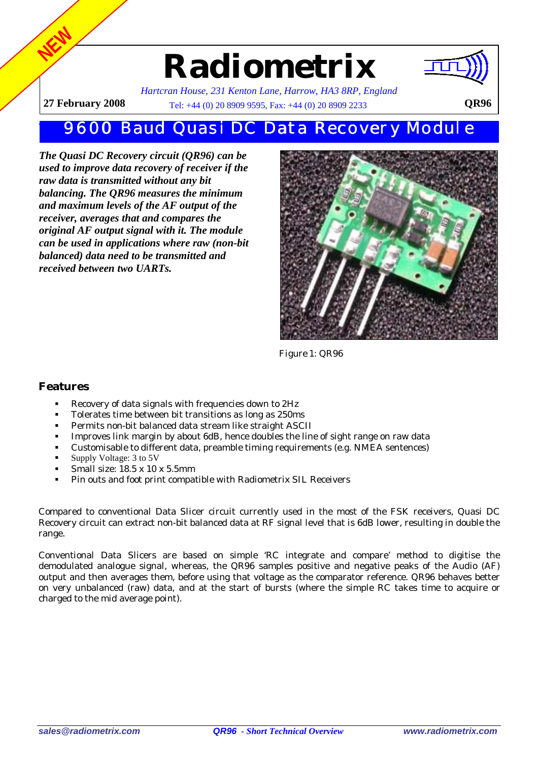## **Radiometrix**



**NEW**

*Hartcran House, 231 Kenton Lane, Harrow, HA3 8RP, England* **27 February 2008** Tel: +44 (0) 20 8909 9595, Fax: +44 (0) 20 8909 2233 QR96

## 9600 Baud Quasi DC Data Recovery Module

*The Quasi DC Recovery circuit (QR96) can be used to improve data recovery of receiver if the raw data is transmitted without any bit balancing. The QR96 measures the minimum and maximum levels of the AF output of the receiver, averages that and compares the original AF output signal with it. The module can be used in applications where raw (non-bit balanced) data need to be transmitted and received between two UARTs.*



 *Figure 1: QR96* 

## **Features**

- Recovery of data signals with frequencies down to 2Hz
- Tolerates time between bit transitions as long as 250ms
- Permits non-bit balanced data stream like straight ASCII<br>Improves link margin by about 6dB, hence doubles the line
- Improves link margin by about 6dB, hence doubles the line of sight range on raw data
- Customisable to different data, preamble timing requirements (e.g. NMEA sentences)
- Supply Voltage: 3 to 5V
- Small size: 18.5 x 10 x 5.5mm
- Pin outs and foot print compatible with Radiometrix SIL Receivers

Compared to conventional Data Slicer circuit currently used in the most of the FSK receivers, Quasi DC Recovery circuit can extract non-bit balanced data at RF signal level that is 6dB lower, resulting in double the range.

Conventional Data Slicers are based on simple 'RC integrate and compare' method to digitise the demodulated analogue signal, whereas, the QR96 samples positive and negative peaks of the Audio (AF) output and then averages them, before using that voltage as the comparator reference. QR96 behaves better on very unbalanced (raw) data, and at the start of bursts (where the simple RC takes time to acquire or charged to the mid average point).